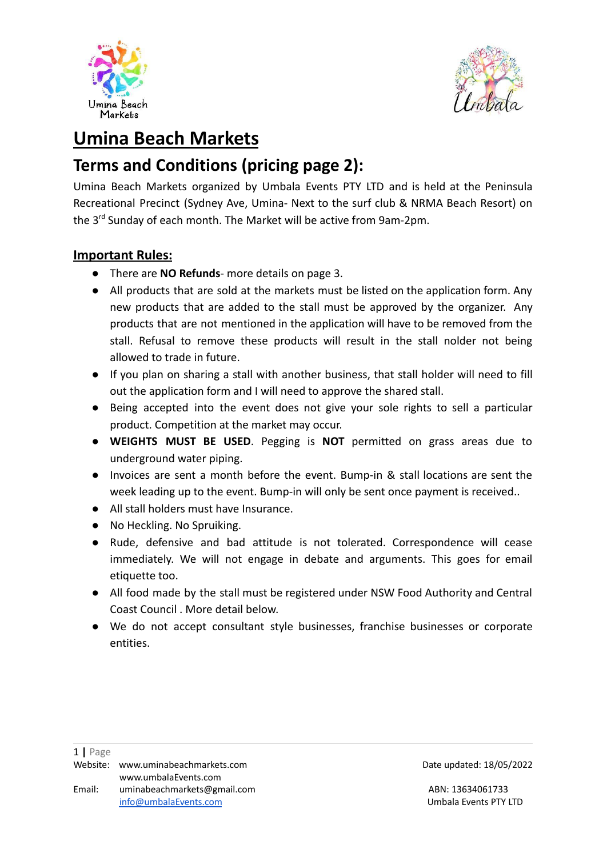



# **Umina Beach Markets**

# **Terms and Conditions (pricing page 2):**

Umina Beach Markets organized by Umbala Events PTY LTD and is held at the Peninsula Recreational Precinct (Sydney Ave, Umina- Next to the surf club & NRMA Beach Resort) on the 3<sup>rd</sup> Sunday of each month. The Market will be active from 9am-2pm.

### **Important Rules:**

- There are **NO Refunds** more details on page 3.
- All products that are sold at the markets must be listed on the application form. Any new products that are added to the stall must be approved by the organizer. Any products that are not mentioned in the application will have to be removed from the stall. Refusal to remove these products will result in the stall nolder not being allowed to trade in future.
- If you plan on sharing a stall with another business, that stall holder will need to fill out the application form and I will need to approve the shared stall.
- Being accepted into the event does not give your sole rights to sell a particular product. Competition at the market may occur.
- **WEIGHTS MUST BE USED**. Pegging is **NOT** permitted on grass areas due to underground water piping.
- Invoices are sent a month before the event. Bump-in & stall locations are sent the week leading up to the event. Bump-in will only be sent once payment is received..
- All stall holders must have Insurance.
- No Heckling. No Spruiking.
- Rude, defensive and bad attitude is not tolerated. Correspondence will cease immediately. We will not engage in debate and arguments. This goes for email etiquette too.
- All food made by the stall must be registered under NSW Food Authority and Central Coast Council . More detail below.
- We do not accept consultant style businesses, franchise businesses or corporate entities.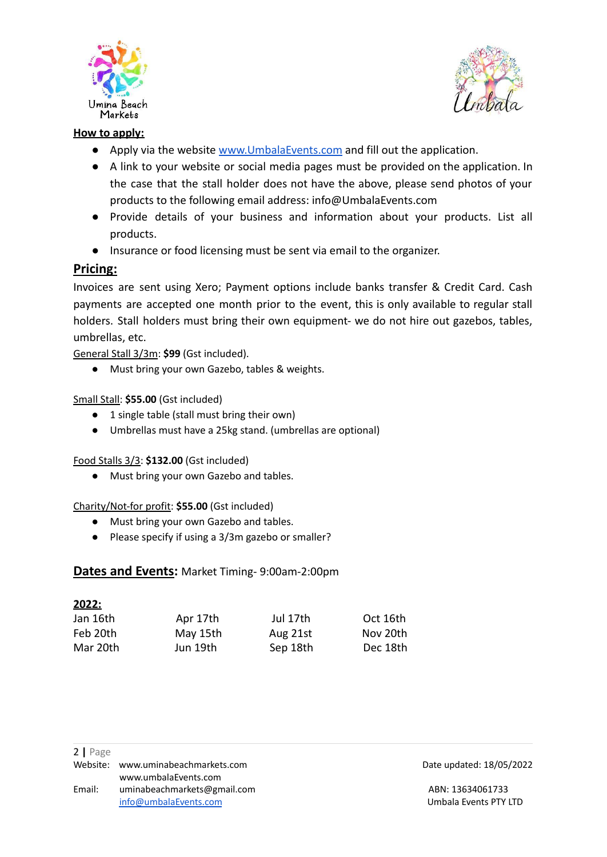



#### **How to apply:**

- Apply via the website [www.UmbalaEvents.com](http://www.umbalaevents.com) and fill out the application.
- A link to your website or social media pages must be provided on the application. In the case that the stall holder does not have the above, please send photos of your products to the following email address: info@UmbalaEvents.com
- Provide details of your business and information about your products. List all products.
- Insurance or food licensing must be sent via email to the organizer.

#### **Pricing:**

Invoices are sent using Xero; Payment options include banks transfer & Credit Card. Cash payments are accepted one month prior to the event, this is only available to regular stall holders. Stall holders must bring their own equipment- we do not hire out gazebos, tables, umbrellas, etc.

General Stall 3/3m: **\$99** (Gst included).

**●** Must bring your own Gazebo, tables & weights.

#### Small Stall: **\$55.00** (Gst included)

- **●** 1 single table (stall must bring their own)
- **●** Umbrellas must have a 25kg stand. (umbrellas are optional)

#### Food Stalls 3/3: **\$132.00** (Gst included)

● Must bring your own Gazebo and tables.

#### Charity/Not-for profit: **\$55.00** (Gst included)

- **●** Must bring your own Gazebo and tables.
- **●** Please specify if using a 3/3m gazebo or smaller?

#### **Dates and Events:** Market Timing- 9:00am-2:00pm

| <u> 2022:</u> |          |          |          |
|---------------|----------|----------|----------|
| Jan 16th      | Apr 17th | Jul 17th | Oct 16th |
| Feb 20th      | May 15th | Aug 21st | Nov 20th |
| Mar 20th      | Jun 19th | Sep 18th | Dec 18th |

Website: [www.uminabeachmarkets.com](http://www.uminabeachmarkets.com) **Date updated: 18/05/2022**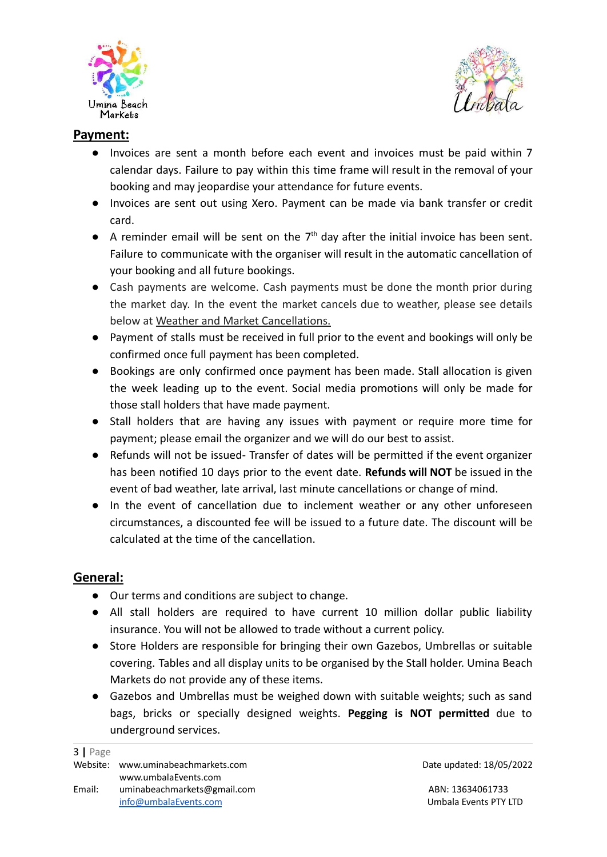



## **Payment:**

- Invoices are sent a month before each event and invoices must be paid within 7 calendar days. Failure to pay within this time frame will result in the removal of your booking and may jeopardise your attendance for future events.
- Invoices are sent out using Xero. Payment can be made via bank transfer or credit card.
- $\bullet$  A reminder email will be sent on the  $7<sup>th</sup>$  day after the initial invoice has been sent. Failure to communicate with the organiser will result in the automatic cancellation of your booking and all future bookings.
- Cash payments are welcome. Cash payments must be done the month prior during the market day. In the event the market cancels due to weather, please see details below at Weather and Market Cancellations.
- Payment of stalls must be received in full prior to the event and bookings will only be confirmed once full payment has been completed.
- Bookings are only confirmed once payment has been made. Stall allocation is given the week leading up to the event. Social media promotions will only be made for those stall holders that have made payment.
- Stall holders that are having any issues with payment or require more time for payment; please email the organizer and we will do our best to assist.
- Refunds will not be issued- Transfer of dates will be permitted if the event organizer has been notified 10 days prior to the event date. **Refunds will NOT** be issued in the event of bad weather, late arrival, last minute cancellations or change of mind.
- In the event of cancellation due to inclement weather or any other unforeseen circumstances, a discounted fee will be issued to a future date. The discount will be calculated at the time of the cancellation.

## **General:**

- Our terms and conditions are subject to change.
- All stall holders are required to have current 10 million dollar public liability insurance. You will not be allowed to trade without a current policy.
- Store Holders are responsible for bringing their own Gazebos, Umbrellas or suitable covering. Tables and all display units to be organised by the Stall holder. Umina Beach Markets do not provide any of these items.
- Gazebos and Umbrellas must be weighed down with suitable weights; such as sand bags, bricks or specially designed weights. **Pegging is NOT permitted** due to underground services.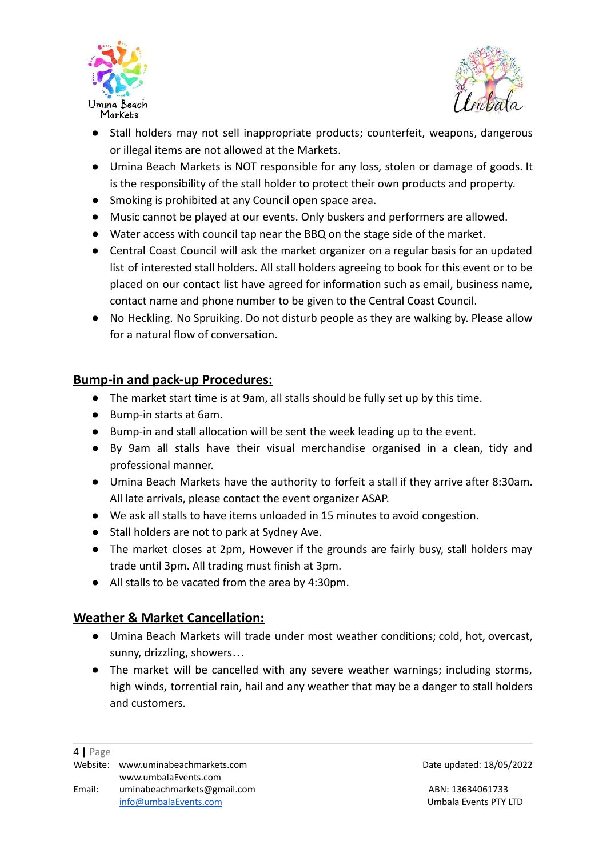



- Stall holders may not sell inappropriate products; counterfeit, weapons, dangerous or illegal items are not allowed at the Markets.
- Umina Beach Markets is NOT responsible for any loss, stolen or damage of goods. It is the responsibility of the stall holder to protect their own products and property.
- Smoking is prohibited at any Council open space area.
- Music cannot be played at our events. Only buskers and performers are allowed.
- Water access with council tap near the BBQ on the stage side of the market.
- Central Coast Council will ask the market organizer on a regular basis for an updated list of interested stall holders. All stall holders agreeing to book for this event or to be placed on our contact list have agreed for information such as email, business name, contact name and phone number to be given to the Central Coast Council.
- No Heckling. No Spruiking. Do not disturb people as they are walking by. Please allow for a natural flow of conversation.

## **Bump-in and pack-up Procedures:**

- The market start time is at 9am, all stalls should be fully set up by this time.
- Bump-in starts at 6am.
- Bump-in and stall allocation will be sent the week leading up to the event.
- By 9am all stalls have their visual merchandise organised in a clean, tidy and professional manner.
- Umina Beach Markets have the authority to forfeit a stall if they arrive after 8:30am. All late arrivals, please contact the event organizer ASAP.
- We ask all stalls to have items unloaded in 15 minutes to avoid congestion.
- Stall holders are not to park at Sydney Ave.
- The market closes at 2pm, However if the grounds are fairly busy, stall holders may trade until 3pm. All trading must finish at 3pm.
- All stalls to be vacated from the area by 4:30pm.

## **Weather & Market Cancellation:**

- Umina Beach Markets will trade under most weather conditions; cold, hot, overcast, sunny, drizzling, showers…
- The market will be cancelled with any severe weather warnings; including storms, high winds, torrential rain, hail and any weather that may be a danger to stall holders and customers.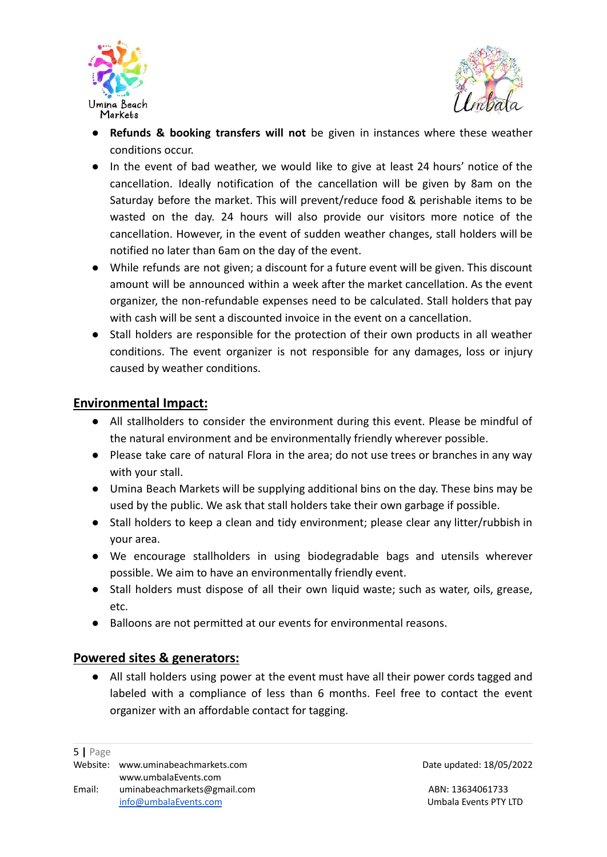



- **Refunds & booking transfers will not** be given in instances where these weather conditions occur.
- In the event of bad weather, we would like to give at least 24 hours' notice of the cancellation. Ideally notification of the cancellation will be given by 8am on the Saturday before the market. This will prevent/reduce food & perishable items to be wasted on the day. 24 hours will also provide our visitors more notice of the cancellation. However, in the event of sudden weather changes, stall holders will be notified no later than 6am on the day of the event.
- While refunds are not given; a discount for a future event will be given. This discount amount will be announced within a week after the market cancellation. As the event organizer, the non-refundable expenses need to be calculated. Stall holders that pay with cash will be sent a discounted invoice in the event on a cancellation.
- Stall holders are responsible for the protection of their own products in all weather conditions. The event organizer is not responsible for any damages, loss or injury caused by weather conditions.

### **Environmental Impact:**

- All stallholders to consider the environment during this event. Please be mindful of the natural environment and be environmentally friendly wherever possible.
- Please take care of natural Flora in the area; do not use trees or branches in any way with your stall.
- Umina Beach Markets will be supplying additional bins on the day. These bins may be used by the public. We ask that stall holders take their own garbage if possible.
- Stall holders to keep a clean and tidy environment; please clear any litter/rubbish in your area.
- We encourage stallholders in using biodegradable bags and utensils wherever possible. We aim to have an environmentally friendly event.
- Stall holders must dispose of all their own liquid waste; such as water, oils, grease, etc.
- Balloons are not permitted at our events for environmental reasons.

#### **Powered sites & generators:**

All stall holders using power at the event must have all their power cords tagged and labeled with a compliance of less than 6 months. Feel free to contact the event organizer with an affordable contact for tagging.

Website: [www.uminabeachmarkets.com](http://www.uminabeachmarkets.com) **Date updated: 18/05/2022**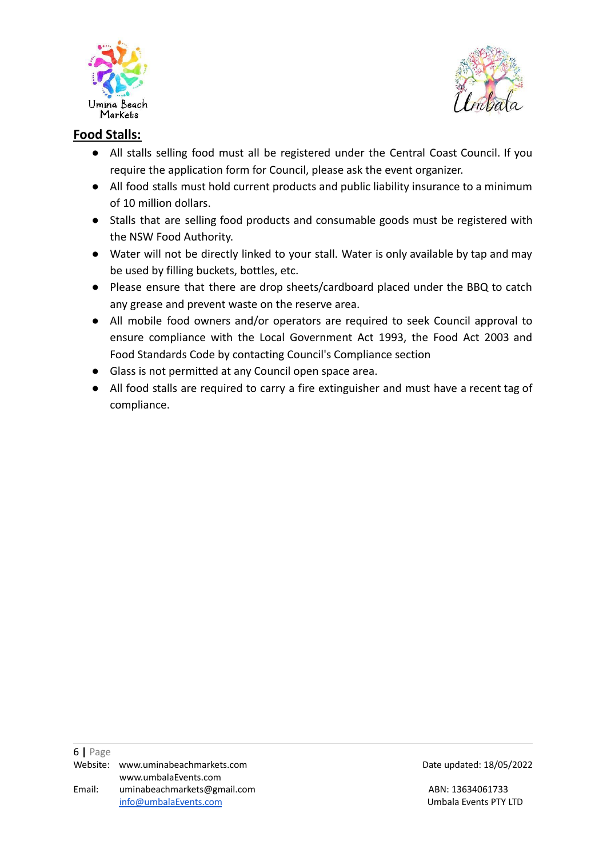



## **Food Stalls:**

- All stalls selling food must all be registered under the Central Coast Council. If you require the application form for Council, please ask the event organizer.
- All food stalls must hold current products and public liability insurance to a minimum of 10 million dollars.
- Stalls that are selling food products and consumable goods must be registered with the NSW Food Authority.
- Water will not be directly linked to your stall. Water is only available by tap and may be used by filling buckets, bottles, etc.
- Please ensure that there are drop sheets/cardboard placed under the BBQ to catch any grease and prevent waste on the reserve area.
- All mobile food owners and/or operators are required to seek Council approval to ensure compliance with the Local Government Act 1993, the Food Act 2003 and Food Standards Code by contacting Council's Compliance section
- Glass is not permitted at any Council open space area.
- All food stalls are required to carry a fire extinguisher and must have a recent tag of compliance.